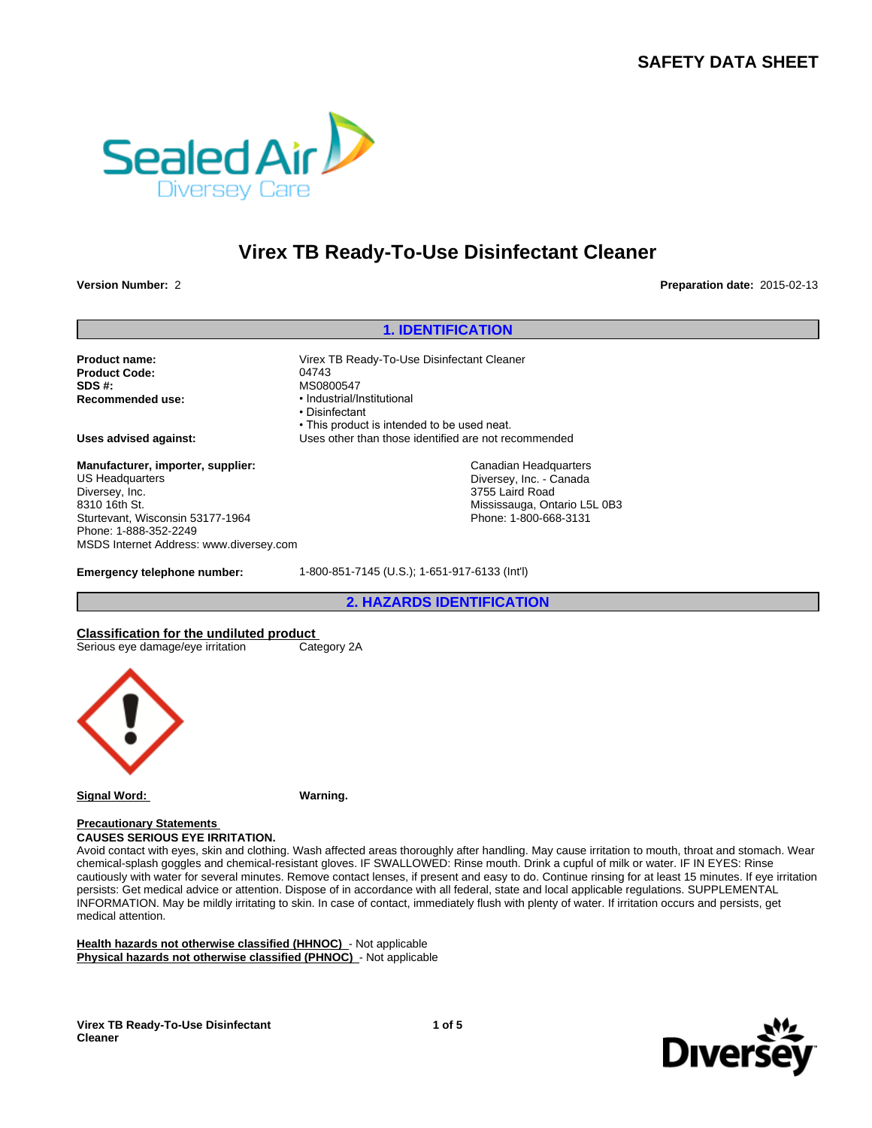# **SAFETY DATA SHEET**



# **Virex TB Ready-To-Use Disinfectant Cleaner**

**Version Number:** 2 **Preparation date:** 2015-02-13

Product Code: 04743 **SDS #:** MS0800547<br> **Recommended use:** Magnustrial/low-

**1. IDENTIFICATION<br>
The District Cleaner**<br>
Preparat<br>
To-Use Disinfectant Cleaner **Product name:** Virex TB Ready-To-Use Disinfectant Cleaner **Recommended use:** • Industrial/Institutional • Disinfectant • This product is intended to be used neat. **Uses advised against:** Uses other than those identified are not recommended <sup>147</sup><br>
22. Hart<br>
22. Hart<br>
22. Hart<br>
22. Hart<br>
22. Hart<br>
22. Hart<br>
23. Hart<br>
23. Hart<br>
23. Hart<br>
24. Hart<br>
24. Hart<br>
24. Hart<br>
24. Hart<br>
24. Hart<br>
24. Hart<br>
24. Hart<br>
24. Hart<br>
24. Hart<br>
24. Hart<br>
24. Hart<br>
24. Hart<br>
24. H Canadian Headquarters

Diversey, Inc. - Canada 3755 Laird Road Mississauga, Ontario L5L 0B3 Phone: 1-800-668-3131

**Manufacturer, importer, supplier:** US Headquarters Diversey, Inc. 8310 16th St. Sturtevant, Wisconsin 53177-1964 Phone: 1-888-352-2249 MSDS Internet Address: www.diversey.com

**Emergency telephone number:** 1-800-851-7145 (U.S.); 1-651-917-6133 (Int'l)

**Classification for the undiluted product**<br>
Serious eye damage/eye irritation Category 2A Serious eye damage/eye irritation



**Signal Word: Warning.**

**Precautionary Statements CAUSES SERIOUS EYE IRRITATION.**

Avoid contact with eyes, skin and clothing. Wash affected areas thoroughly after handling. May cause irritation to mouth, throat and stomach. Wear chemical-splash goggles and chemical-resistant gloves. IF SWALLOWED: Rinse mouth. Drink a cupful of milk or water. IF IN EYES: Rinse cautiously with water for several minutes. Remove contact lenses, if present and easy to do. Continue rinsing for at least 15 minutes. If eye irritation persists: Get medical advice or attention. Dispose of in accordance with all federal, state and local applicable regulations. SUPPLEMENTAL INFORMATION. May be mildly irritating to skin. In case of contact, immediately flush with plenty of water. If irritation occurs and persists, get medical attention.

**Health hazards not otherwise classified (HHNOC)** - Not applicable **Physical hazards not otherwise classified (PHNOC)** - Not applicable

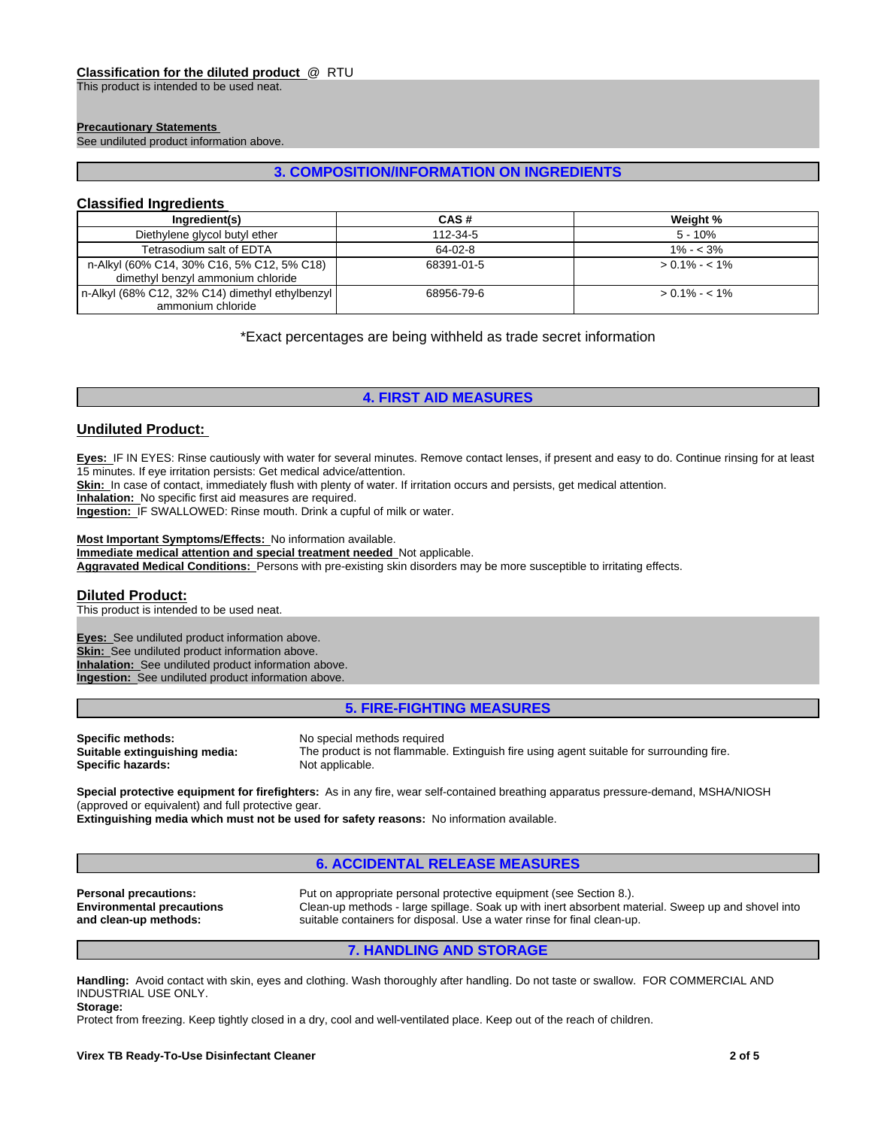#### **Classification for the diluted product** @ RTU

This product is intended to be used neat.

#### **Precautionary Statements**

See undiluted product information above.

# **3. COMPOSITION/INFORMATION ON INGREDIENTS**

# **Classified Ingredients**

| Ingredient(s)                                                                   | CAS#       | Weight %        |
|---------------------------------------------------------------------------------|------------|-----------------|
| Diethylene glycol butyl ether                                                   | 112-34-5   | $5 - 10%$       |
| Tetrasodium salt of EDTA                                                        | 64-02-8    | $1\% - 3\%$     |
| n-Alkyl (60% C14, 30% C16, 5% C12, 5% C18)<br>dimethyl benzyl ammonium chloride | 68391-01-5 | $> 0.1\% - 1\%$ |
| n-Alkyl (68% C12, 32% C14) dimethyl ethylbenzyl  <br>ammonium chloride          | 68956-79-6 | $> 0.1\% - 1\%$ |

\*Exact percentages are being withheld as trade secret information

# **4. FIRST AID MEASURES**

## **Undiluted Product:**

**Eyes:** IF IN EYES: Rinse cautiously with water for several minutes. Remove contact lenses, if present and easy to do. Continue rinsing for at least 15 minutes. If eye irritation persists: Get medical advice/attention.

Skin: In case of contact, immediately flush with plenty of water. If irritation occurs and persists, get medical attention.

**Inhalation:** No specific first aid measures are required.

**Ingestion:** IF SWALLOWED: Rinse mouth. Drink a cupful of milk or water.

#### **Most Important Symptoms/Effects:** No information available.

**Immediate medical attention and special treatment needed** Not applicable.

**Aggravated Medical Conditions:** Persons with pre-existing skin disorders may be more susceptible to irritating effects.

#### **Diluted Product:**

This product is intended to be used neat.

**Eyes:** See undiluted product information above. **Skin:** See undiluted product information above. **Inhalation:** See undiluted product information above. **Ingestion:** See undiluted product information above.

# **5. FIRE-FIGHTING MEASURES**

**Specific methods:** No special methods required **Suitable extinguishing media:** The product is not flammable **Specific hazards:** Not applicable.

The product is not flammable. Extinguish fire using agent suitable for surrounding fire.

**Special protective equipment for firefighters:** As in any fire, wear self-contained breathing apparatus pressure-demand, MSHA/NIOSH (approved or equivalent) and full protective gear.

**Extinguishing media which must not be used for safety reasons:** No information available.

## **6. ACCIDENTAL RELEASE MEASURES**

**Environmental precautions and clean-up methods:**

**Personal precautions:** Put on appropriate personal protective equipment (see Section 8.). Clean-up methods - large spillage. Soak up with inert absorbent material. Sweep up and shovel into suitable containers for disposal. Use a water rinse for final clean-up.

#### **7. HANDLING AND STORAGE**

**Handling:** Avoid contact with skin, eyes and clothing. Wash thoroughly after handling. Do not taste or swallow. FOR COMMERCIAL AND INDUSTRIAL USE ONLY. **Storage:**

Protect from freezing. Keep tightly closed in a dry, cool and well-ventilated place. Keep out of the reach of children.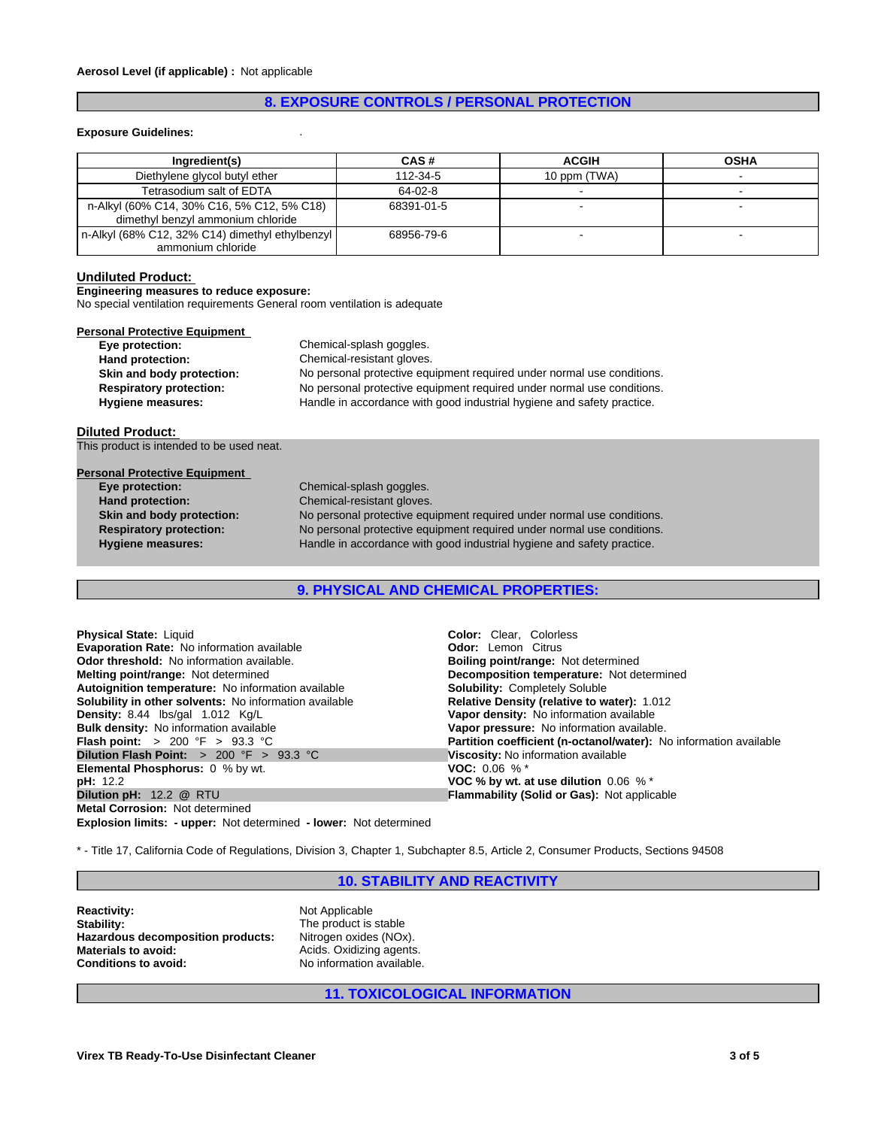# **8. EXPOSURE CONTROLS / PERSONAL PROTECTION**

#### **Exposure Guidelines:** .

| Ingredient(s)                                                                   | CAS#       | <b>ACGIH</b> | <b>OSHA</b> |
|---------------------------------------------------------------------------------|------------|--------------|-------------|
| Diethylene glycol butyl ether                                                   | 112-34-5   | 10 ppm (TWA) |             |
| Tetrasodium salt of EDTA                                                        | $64-02-8$  |              |             |
| n-Alkyl (60% C14, 30% C16, 5% C12, 5% C18)<br>dimethyl benzyl ammonium chloride | 68391-01-5 |              |             |
| n-Alkyl (68% C12, 32% C14) dimethyl ethylbenzyl<br>ammonium chloride            | 68956-79-6 |              |             |

#### **Undiluted Product:**

**Engineering measures to reduce exposure:**

No special ventilation requirements General room ventilation is adequate

| <b>Personal Protective Equipment</b> |                                                                        |
|--------------------------------------|------------------------------------------------------------------------|
| Eye protection:                      | Chemical-splash goggles.                                               |
| Hand protection:                     | Chemical-resistant gloves.                                             |
| Skin and body protection:            | No personal protective equipment required under normal use conditions. |
| <b>Respiratory protection:</b>       | No personal protective equipment required under normal use conditions. |
| <b>Hygiene measures:</b>             | Handle in accordance with good industrial hygiene and safety practice. |

#### **Diluted Product:**

This product is intended to be used neat.

| <b>Personal Protective Equipment</b> |                                                                        |
|--------------------------------------|------------------------------------------------------------------------|
| Eye protection:                      | Chemical-splash goggles.                                               |
| Hand protection:                     | Chemical-resistant gloves.                                             |
| Skin and body protection:            | No personal protective equipment required under normal use conditions. |
| <b>Respiratory protection:</b>       | No personal protective equipment required under normal use conditions. |
| <b>Hygiene measures:</b>             | Handle in accordance with good industrial hygiene and safety practice. |
|                                      |                                                                        |

**9. PHYSICAL AND CHEMICAL PROPERTIES:**

| <b>Physical State: Liquid</b>                             | <b>Color:</b> Clear, Colorless                                    |
|-----------------------------------------------------------|-------------------------------------------------------------------|
| <b>Evaporation Rate:</b> No information available         | <b>Odor:</b> Lemon Citrus                                         |
| <b>Odor threshold:</b> No information available.          | <b>Boiling point/range: Not determined</b>                        |
| <b>Melting point/range: Not determined</b>                | <b>Decomposition temperature:</b> Not determined                  |
| Autoignition temperature: No information available        | <b>Solubility: Completely Soluble</b>                             |
| Solubility in other solvents: No information available    | <b>Relative Density (relative to water): 1.012</b>                |
| <b>Density:</b> 8.44 $\text{lbs/gal}$ 1.012 $\text{Kg/L}$ | Vapor density: No information available                           |
| <b>Bulk density:</b> No information available             | Vapor pressure: No information available.                         |
| <b>Flash point:</b> > 200 °F > 93.3 °C                    | Partition coefficient (n-octanol/water): No information available |
| Dilution Flash Point: $> 200$ °F $> 93.3$ °C              | Viscosity: No information available                               |
| <b>Elemental Phosphorus:</b> 0 % by wt.                   | <b>VOC:</b> 0.06 % $*$                                            |
| pH: 12.2                                                  | VOC % by wt. at use dilution $0.06\%$ *                           |
| Dilution pH: 12.2 @ RTU                                   | Flammability (Solid or Gas): Not applicable                       |
| <b>Metal Corrosion: Not determined</b>                    |                                                                   |

**Explosion limits: - upper:** Not determined **- lower:** Not determined

\* - Title 17, California Code of Regulations, Division 3, Chapter 1, Subchapter 8.5, Article 2, Consumer Products, Sections 94508

# **10. STABILITY AND REACTIVITY**

**Reactivity:** Not Applicable<br> **Stability:** The product is Hazardous decomposition products: **Materials to avoid:** Acids. Oxidizing agents.<br> **Conditions to avoid:** No information available

The product is stable<br>Nitrogen oxides (NOx). **Conditions to avoid:** No information available.

# **11. TOXICOLOGICAL INFORMATION**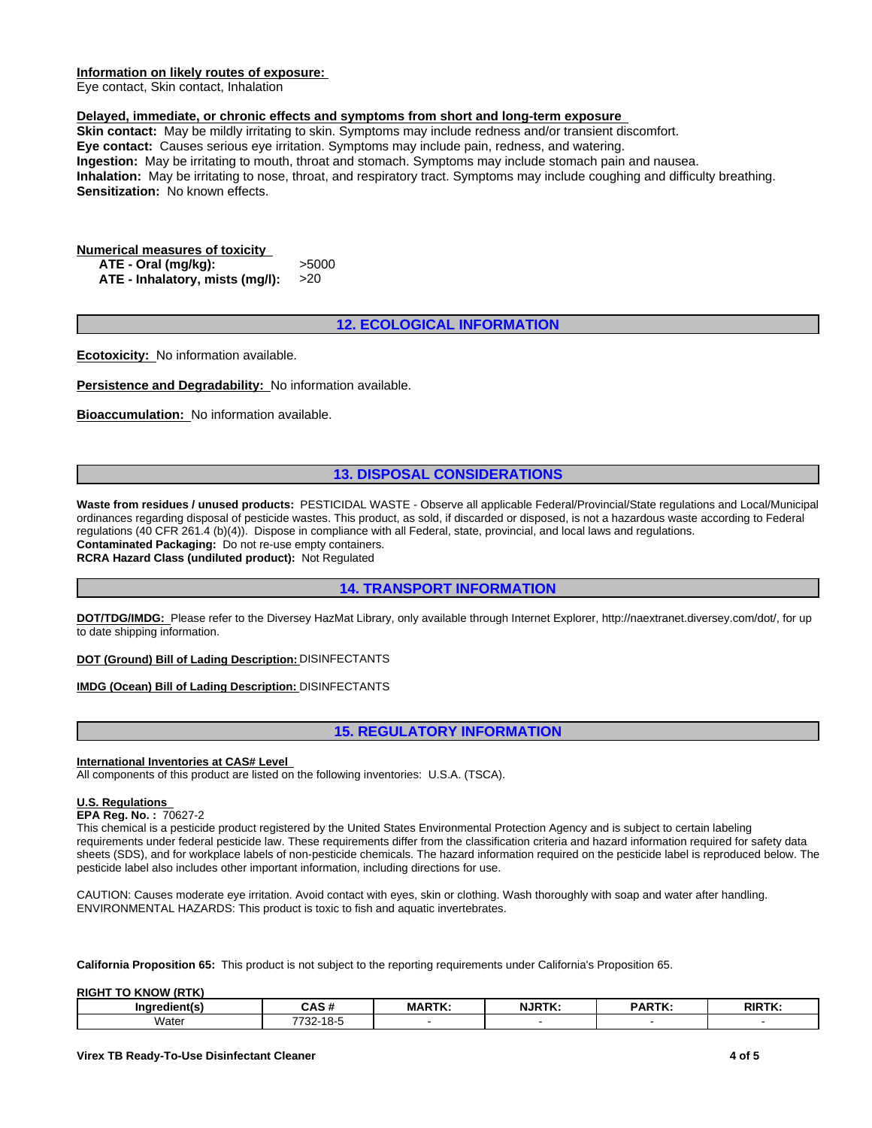#### **Information on likely routes of exposure:**

Eye contact, Skin contact, Inhalation

#### **Delayed, immediate, or chronic effects and symptoms from short and long-term exposure**

**Skin contact:** May be mildly irritating to skin. Symptoms may include redness and/or transient discomfort. **Eye contact:** Causes serious eye irritation. Symptoms may include pain, redness, and watering. **Ingestion:** May be irritating to mouth, throat and stomach. Symptoms may include stomach pain and nausea. **Inhalation:** May be irritating to nose, throat, and respiratory tract. Symptoms may include coughing and difficulty breathing. **Sensitization:** No known effects.

# **Numerical measures of toxicity**

**ATE - Oral (mg/kg):** >5000 **ATE - Inhalatory, mists (mg/l):** >20

# **12. ECOLOGICAL INFORMATION**

**Ecotoxicity:** No information available.

**Persistence and Degradability:** No information available.

**Bioaccumulation:** No information available.

# **13. DISPOSAL CONSIDERATIONS**

**Waste from residues / unused products:** PESTICIDAL WASTE - Observe all applicable Federal/Provincial/State regulations and Local/Municipal ordinances regarding disposal of pesticide wastes. This product, as sold, if discarded or disposed, is not a hazardous waste according to Federal regulations (40 CFR 261.4 (b)(4)). Dispose in compliance with all Federal, state, provincial, and local laws and regulations. **Contaminated Packaging:** Do not re-use empty containers.

**RCRA Hazard Class (undiluted product):** Not Regulated

# **14. TRANSPORT INFORMATION**

**DOT/TDG/IMDG:** Please refer to the Diversey HazMat Library, only available through Internet Explorer, http://naextranet.diversey.com/dot/, for up to date shipping information.

**DOT (Ground) Bill of Lading Description:** DISINFECTANTS

### **IMDG (Ocean) Bill of Lading Description:** DISINFECTANTS

# **15. REGULATORY INFORMATION**

#### **International Inventories at CAS# Level**

All components of this product are listed on the following inventories: U.S.A. (TSCA).

## **U.S. Regulations**

**EPA Reg. No. :** 70627-2

This chemical is a pesticide product registered by the United States Environmental Protection Agency and is subject to certain labeling requirements under federal pesticide law. These requirements differ from the classification criteria and hazard information required for safety data sheets (SDS), and for workplace labels of non-pesticide chemicals. The hazard information required on the pesticide label is reproduced below. The pesticide label also includes other important information, including directions for use.

CAUTION: Causes moderate eye irritation. Avoid contact with eyes, skin or clothing. Wash thoroughly with soap and water after handling. ENVIRONMENTAL HAZARDS: This product is toxic to fish and aquatic invertebrates.

**California Proposition 65:** This product is not subject to the reporting requirements under California's Proposition 65.

**RIGHT TO KNOW (RTK)** 

| $-1$ iontio $-$<br>Inare | CAS                           | MADTK | <b>NJRTK</b> | <b>ARTK</b> | <b>RIRTK.</b> |
|--------------------------|-------------------------------|-------|--------------|-------------|---------------|
| Water<br>.               | 770t<br>- ےت<br>. .<br>______ |       |              |             |               |